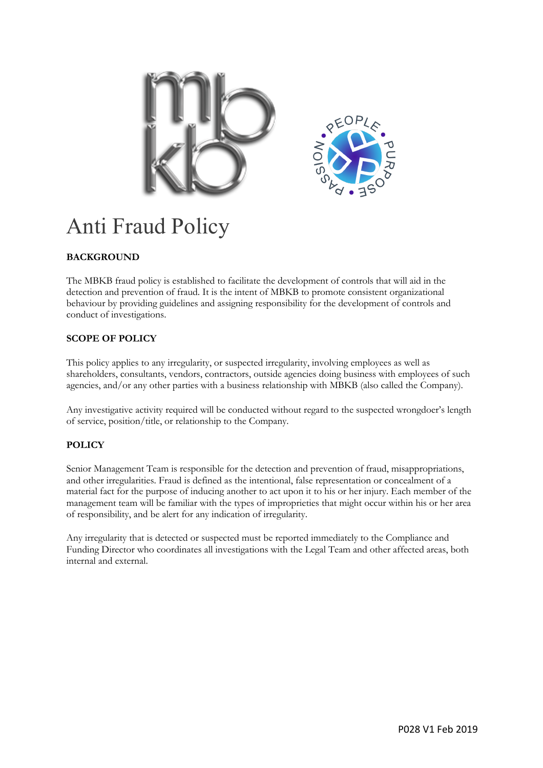

# Anti Fraud Policy

## **BACKGROUND**

The MBKB fraud policy is established to facilitate the development of controls that will aid in the detection and prevention of fraud. It is the intent of MBKB to promote consistent organizational behaviour by providing guidelines and assigning responsibility for the development of controls and conduct of investigations.

## **SCOPE OF POLICY**

This policy applies to any irregularity, or suspected irregularity, involving employees as well as shareholders, consultants, vendors, contractors, outside agencies doing business with employees of such agencies, and/or any other parties with a business relationship with MBKB (also called the Company).

Any investigative activity required will be conducted without regard to the suspected wrongdoer's length of service, position/title, or relationship to the Company.

### **POLICY**

Senior Management Team is responsible for the detection and prevention of fraud, misappropriations, and other irregularities. Fraud is defined as the intentional, false representation or concealment of a material fact for the purpose of inducing another to act upon it to his or her injury. Each member of the management team will be familiar with the types of improprieties that might occur within his or her area of responsibility, and be alert for any indication of irregularity.

Any irregularity that is detected or suspected must be reported immediately to the Compliance and Funding Director who coordinates all investigations with the Legal Team and other affected areas, both internal and external.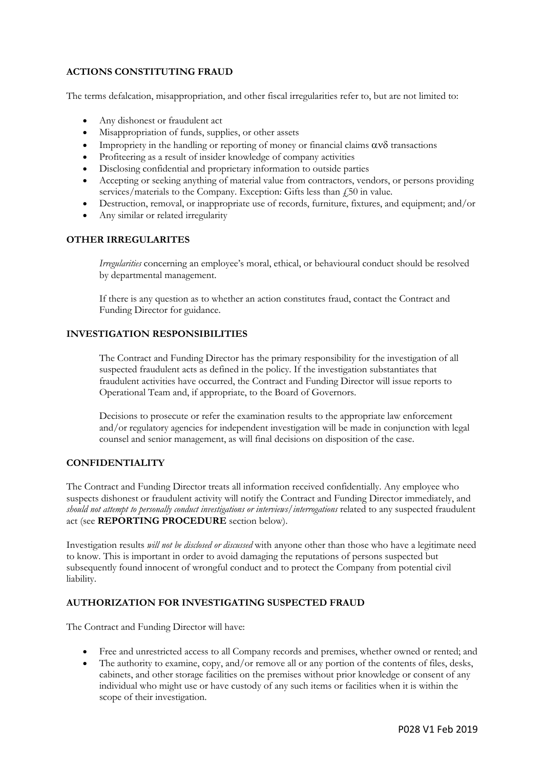#### **ACTIONS CONSTITUTING FRAUD**

The terms defalcation, misappropriation, and other fiscal irregularities refer to, but are not limited to:

- Any dishonest or fraudulent act
- Misappropriation of funds, supplies, or other assets
- Impropriety in the handling or reporting of money or financial claims  $\alpha v \delta$  transactions
- Profiteering as a result of insider knowledge of company activities
- Disclosing confidential and proprietary information to outside parties
- Accepting or seeking anything of material value from contractors, vendors, or persons providing services/materials to the Company. Exception: Gifts less than  $f<sub>1</sub>50$  in value.
- Destruction, removal, or inappropriate use of records, furniture, fixtures, and equipment; and/or
- Any similar or related irregularity

#### **OTHER IRREGULARITES**

*Irregularities* concerning an employee's moral, ethical, or behavioural conduct should be resolved by departmental management.

If there is any question as to whether an action constitutes fraud, contact the Contract and Funding Director for guidance.

#### **INVESTIGATION RESPONSIBILITIES**

The Contract and Funding Director has the primary responsibility for the investigation of all suspected fraudulent acts as defined in the policy. If the investigation substantiates that fraudulent activities have occurred, the Contract and Funding Director will issue reports to Operational Team and, if appropriate, to the Board of Governors.

Decisions to prosecute or refer the examination results to the appropriate law enforcement and/or regulatory agencies for independent investigation will be made in conjunction with legal counsel and senior management, as will final decisions on disposition of the case.

#### **CONFIDENTIALITY**

The Contract and Funding Director treats all information received confidentially. Any employee who suspects dishonest or fraudulent activity will notify the Contract and Funding Director immediately, and *should not attempt to personally conduct investigations or interviews/interrogations* related to any suspected fraudulent act (see **REPORTING PROCEDURE** section below).

Investigation results *will not be disclosed or discussed* with anyone other than those who have a legitimate need to know. This is important in order to avoid damaging the reputations of persons suspected but subsequently found innocent of wrongful conduct and to protect the Company from potential civil liability.

#### **AUTHORIZATION FOR INVESTIGATING SUSPECTED FRAUD**

The Contract and Funding Director will have:

- Free and unrestricted access to all Company records and premises, whether owned or rented; and
- The authority to examine, copy, and/or remove all or any portion of the contents of files, desks, cabinets, and other storage facilities on the premises without prior knowledge or consent of any individual who might use or have custody of any such items or facilities when it is within the scope of their investigation.